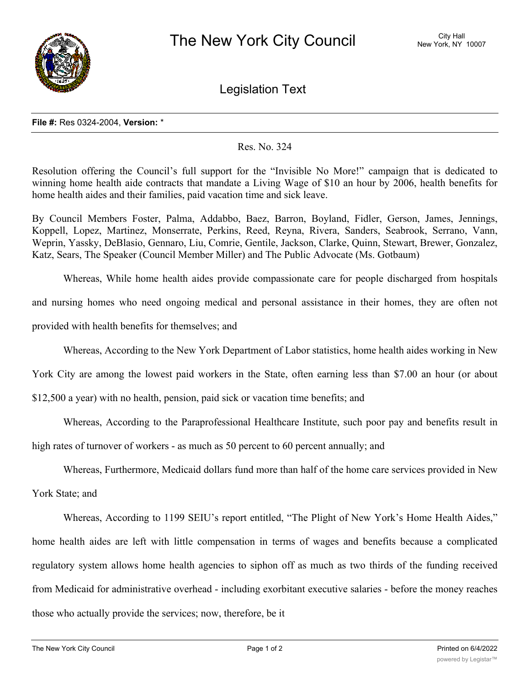

Legislation Text

## **File #:** Res 0324-2004, **Version:** \*

## Res. No. 324

Resolution offering the Council's full support for the "Invisible No More!" campaign that is dedicated to winning home health aide contracts that mandate a Living Wage of \$10 an hour by 2006, health benefits for home health aides and their families, paid vacation time and sick leave.

By Council Members Foster, Palma, Addabbo, Baez, Barron, Boyland, Fidler, Gerson, James, Jennings, Koppell, Lopez, Martinez, Monserrate, Perkins, Reed, Reyna, Rivera, Sanders, Seabrook, Serrano, Vann, Weprin, Yassky, DeBlasio, Gennaro, Liu, Comrie, Gentile, Jackson, Clarke, Quinn, Stewart, Brewer, Gonzalez, Katz, Sears, The Speaker (Council Member Miller) and The Public Advocate (Ms. Gotbaum)

Whereas, While home health aides provide compassionate care for people discharged from hospitals and nursing homes who need ongoing medical and personal assistance in their homes, they are often not

provided with health benefits for themselves; and

Whereas, According to the New York Department of Labor statistics, home health aides working in New

York City are among the lowest paid workers in the State, often earning less than \$7.00 an hour (or about

\$12,500 a year) with no health, pension, paid sick or vacation time benefits; and

Whereas, According to the Paraprofessional Healthcare Institute, such poor pay and benefits result in

high rates of turnover of workers - as much as 50 percent to 60 percent annually; and

Whereas, Furthermore, Medicaid dollars fund more than half of the home care services provided in New

York State; and

Whereas, According to 1199 SEIU's report entitled, "The Plight of New York's Home Health Aides," home health aides are left with little compensation in terms of wages and benefits because a complicated regulatory system allows home health agencies to siphon off as much as two thirds of the funding received from Medicaid for administrative overhead - including exorbitant executive salaries - before the money reaches those who actually provide the services; now, therefore, be it